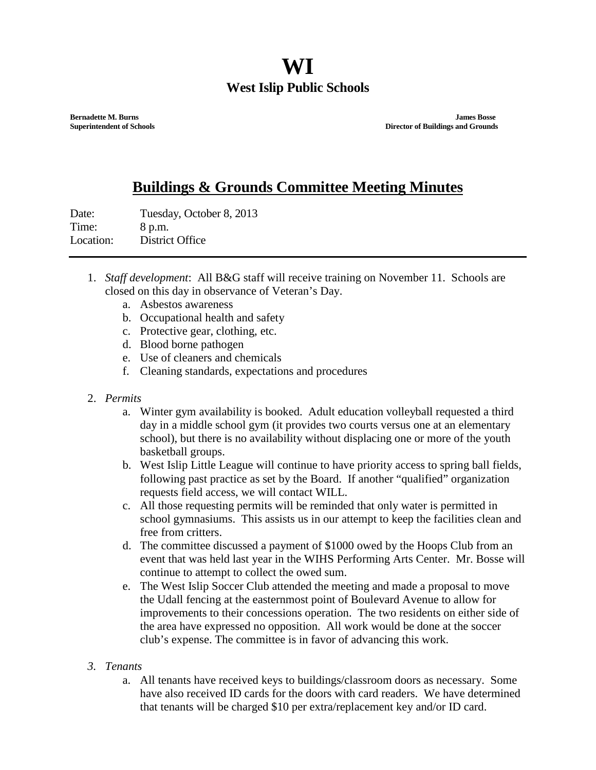## **WI West Islip Public Schools**

**Bernadette M. Burns James Bosse Superintendent of Schools Director of Buildings and Grounds**

## **Buildings & Grounds Committee Meeting Minutes**

Date: Tuesday, October 8, 2013 Time: 8 p.m. Location: District Office

- 1. *Staff development*: All B&G staff will receive training on November 11. Schools are closed on this day in observance of Veteran's Day.
	- a. Asbestos awareness
	- b. Occupational health and safety
	- c. Protective gear, clothing, etc.
	- d. Blood borne pathogen
	- e. Use of cleaners and chemicals
	- f. Cleaning standards, expectations and procedures

## 2. *Permits*

- a. Winter gym availability is booked. Adult education volleyball requested a third day in a middle school gym (it provides two courts versus one at an elementary school), but there is no availability without displacing one or more of the youth basketball groups.
- b. West Islip Little League will continue to have priority access to spring ball fields, following past practice as set by the Board. If another "qualified" organization requests field access, we will contact WILL.
- c. All those requesting permits will be reminded that only water is permitted in school gymnasiums. This assists us in our attempt to keep the facilities clean and free from critters.
- d. The committee discussed a payment of \$1000 owed by the Hoops Club from an event that was held last year in the WIHS Performing Arts Center. Mr. Bosse will continue to attempt to collect the owed sum.
- e. The West Islip Soccer Club attended the meeting and made a proposal to move the Udall fencing at the easternmost point of Boulevard Avenue to allow for improvements to their concessions operation. The two residents on either side of the area have expressed no opposition. All work would be done at the soccer club's expense. The committee is in favor of advancing this work.

## *3. Tenants*

a. All tenants have received keys to buildings/classroom doors as necessary. Some have also received ID cards for the doors with card readers. We have determined that tenants will be charged \$10 per extra/replacement key and/or ID card.